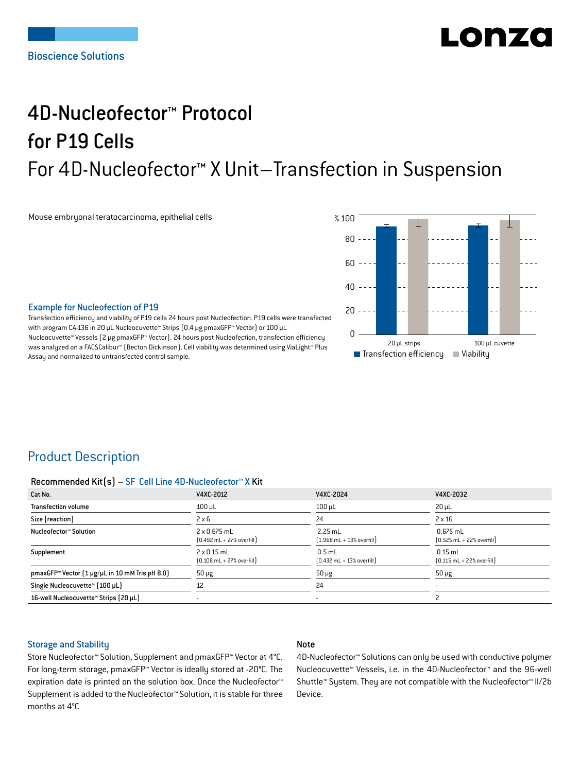# LORZO

## 4D-Nucleofector™ Protocol for P19 Cells For 4D-Nucleofector™ X Unit–Transfection in Suspension

Mouse embryonal teratocarcinoma, epithelial cells



#### Example for Nucleofection of P19

Transfection efficiency and viability of P19 cells 24 hours post Nucleofection. P19 cells were transfected with program CA-136 in 20 μL Nucleocuvette™ Strips (0.4 μg pmaxGFP™ Vector) or 100 μL Nucleocuvette™ Vessels (2 μg pmaxGFP™ Vector). 24 hours post Nucleofection, transfection efficiency was analyzed on a FACSCalibur™ (Becton Dickinson). Cell viability was determined using ViaLight™ Plus Assay and normalized to untransfected control sample.

## Product Description

#### Recommended Kit(s) – SF Cell Line 4D-Nucleofector™ X Kit

| Cat No.                                                    | V4XC-2012                                                          | V4XC-2024                                                 | V4XC-2032                                                  |
|------------------------------------------------------------|--------------------------------------------------------------------|-----------------------------------------------------------|------------------------------------------------------------|
| <b>Transfection volume</b>                                 | $100 \mu L$                                                        | $100$ $\mu$ L                                             | $20 \mu L$                                                 |
| Size [reaction]                                            | $2 \times 6$                                                       | 24                                                        | $2 \times 16$                                              |
| Nucleofector™ Solution                                     | 2 x 0.675 mL<br>$[0.492 \text{ mL} + 27\% \text{ overfill}]$       | $2.25$ mL<br>$[1.968 \text{ mL} + 13\% \text{ overfill}]$ | $0.675$ mL<br>$[0.525 \text{ mL} + 22\% \text{ overfill}]$ |
| Supplement                                                 | $2 \times 0.15$ mL<br>$[0.108 \text{ mL} + 27\% \text{ overfill}]$ | $0.5$ mL<br>$[0.432 \text{ mL} + 13\% \text{ overfill}]$  | $0.15$ mL<br>$[0.115 \text{ mL} + 22\% \text{ overfill}]$  |
| pmaxGFP <sup>™</sup> Vector [1 µg/µL in 10 mM Tris pH 8.0] | $50 \mu g$                                                         | $50 \mu g$                                                | $50 \mu g$                                                 |
| Single Nucleocuvette™ (100 µL)                             | 12                                                                 | 24                                                        |                                                            |
| 16-well Nucleocuvette™ Strips (20 µL)                      |                                                                    | $\overline{\phantom{a}}$                                  |                                                            |

#### Storage and Stability

#### Note

Store Nucleofector™ Solution, Supplement and pmaxGFP™ Vector at 4°C. For long-term storage, pmaxGFP™ Vector is ideally stored at -20°C. The expiration date is printed on the solution box. Once the Nucleofector™ Supplement is added to the Nucleofector™ Solution, it is stable for three months at 4°C

4D-Nucleofector™ Solutions can only be used with conductive polymer Nucleocuvette™ Vessels, i.e. in the 4D-Nucleofector™ and the 96-well Shuttle™ System. They are not compatible with the Nucleofector™ II/2b Device.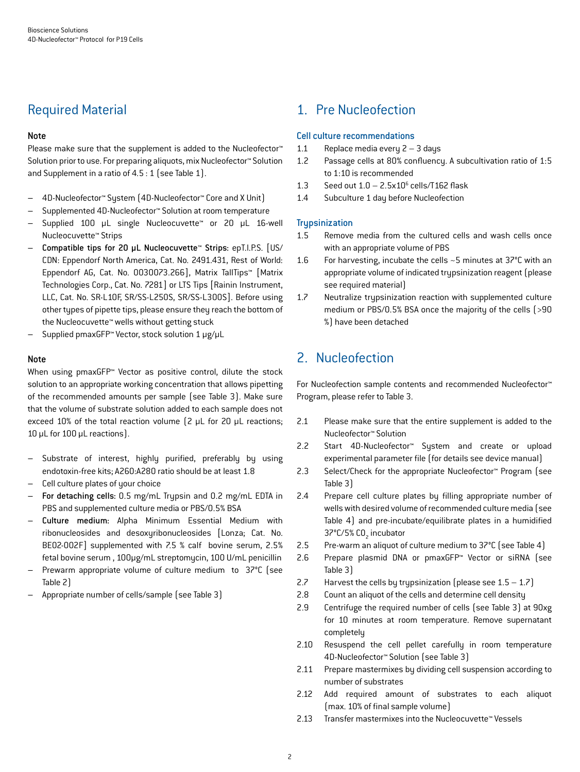## Required Material

#### Note

Please make sure that the supplement is added to the Nucleofector<sup>™</sup> Solution prior to use. For preparing aliquots, mix Nucleofector™ Solution and Supplement in a ratio of 4.5 : 1 (see Table 1).

- 4D-Nucleofector™ System (4D-Nucleofector™ Core and X Unit)
- Supplemented 4D-Nucleofector™ Solution at room temperature
- Supplied 100 µL single Nucleocuvette™ or 20 µL 16-well Nucleocuvette™ Strips
- Compatible tips for 20 µL Nucleocuvette™ Strips: epT.I.P.S. [US/ CDN: Eppendorf North America, Cat. No. 2491.431, Rest of World: Eppendorf AG, Cat. No. 0030073.266], Matrix TallTips™ [Matrix Technologies Corp., Cat. No. 7281] or LTS Tips [Rainin Instrument, LLC, Cat. No. SR-L10F, SR/SS-L250S, SR/SS-L300S]. Before using other types of pipette tips, please ensure they reach the bottom of the Nucleocuvette™ wells without getting stuck
- Supplied pmaxGFP™ Vector, stock solution 1 μg/μL

#### Note

When using pmaxGFP™ Vector as positive control, dilute the stock solution to an appropriate working concentration that allows pipetting of the recommended amounts per sample (see Table 3). Make sure that the volume of substrate solution added to each sample does not exceed 10% of the total reaction volume (2 μL for 20 μL reactions; 10 μL for 100 μL reactions).

- Substrate of interest, highly purified, preferably by using endotoxin-free kits; A260:A280 ratio should be at least 1.8
- Cell culture plates of your choice
- For detaching cells: 0.5 mg/mL Trypsin and 0.2 mg/mL EDTA in PBS and supplemented culture media or PBS/0.5% BSA
- Culture medium: Alpha Minimum Essential Medium with ribonucleosides and desoxyribonucleosides [Lonza; Cat. No. BE02-002F] supplemented with 7.5 % calf bovine serum, 2.5% fetal bovine serum , 100μg/mL streptomycin, 100 U/mL penicillin
- Prewarm appropriate volume of culture medium to 37°C (see Table 2)
- Appropriate number of cells/sample (see Table 3)

## 1. Pre Nucleofection

#### Cell culture recommendations

- 1.1 Replace media every 2 3 days
- 1.2 Passage cells at 80% confluency. A subcultivation ratio of 1:5 to 1:10 is recommended
- 1.3 Seed out  $1.0 2.5 \times 10^6$  cells/T162 flask
- 1.4 Subculture 1 day before Nucleofection

#### **Trypsinization**

- 1.5 Remove media from the cultured cells and wash cells once with an appropriate volume of PBS
- 1.6 For harvesting, incubate the cells ~5 minutes at 37°C with an appropriate volume of indicated trypsinization reagent (please see required material)
- 1.7 Neutralize trypsinization reaction with supplemented culture medium or PBS/0.5% BSA once the majority of the cells (>90 %) have been detached

## 2. Nucleofection

For Nucleofection sample contents and recommended Nucleofector™ Program, please refer to Table 3.

- 2.1 Please make sure that the entire supplement is added to the Nucleofector™ Solution
- 2.2 Start 4D-Nucleofector™ System and create or upload experimental parameter file (for details see device manual)
- 2.3 Select/Check for the appropriate Nucleofector™ Program (see Table 3)
- 2.4 Prepare cell culture plates by filling appropriate number of wells with desired volume of recommended culture media (see Table 4) and pre-incubate/equilibrate plates in a humidified 37°C/5% CO<sub>2</sub> incubator
- 2.5 Pre-warm an aliquot of culture medium to 37°C (see Table 4)
- 2.6 Prepare plasmid DNA or pmaxGFP™ Vector or siRNA (see Table 3)
- 2.7 Harvest the cells by trypsinization (please see  $1.5 1.7$ )
- 2.8 Count an aliquot of the cells and determine cell density
- 2.9 Centrifuge the required number of cells (see Table 3) at 90xg for 10 minutes at room temperature. Remove supernatant completely
- 2.10 Resuspend the cell pellet carefully in room temperature 4D-Nucleofector™ Solution (see Table 3)
- 2.11 Prepare mastermixes by dividing cell suspension according to number of substrates
- 2.12 Add required amount of substrates to each aliquot (max. 10% of final sample volume)
- 2.13 Transfer mastermixes into the Nucleocuvette™ Vessels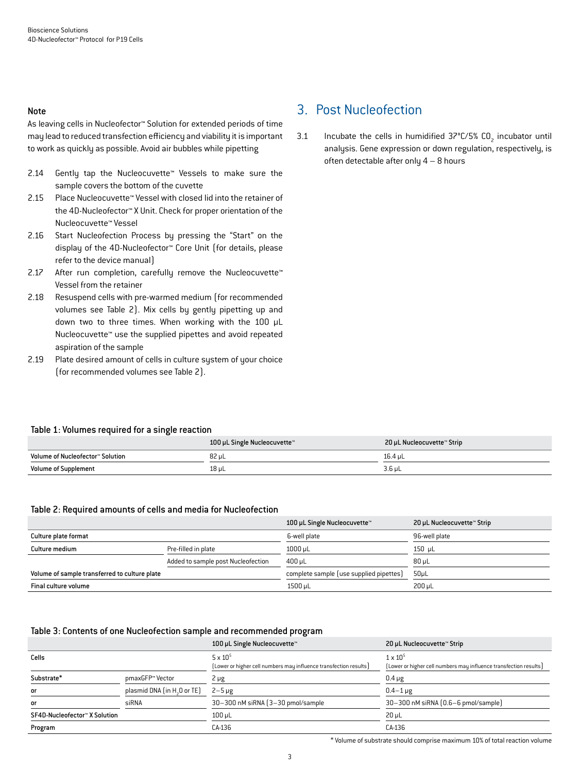#### Note

As leaving cells in Nucleofector™ Solution for extended periods of time may lead to reduced transfection efficiency and viability it is important to work as quickly as possible. Avoid air bubbles while pipetting

- 2.14 Gently tap the Nucleocuvette™ Vessels to make sure the sample covers the bottom of the cuvette
- 2.15 Place Nucleocuvette™ Vessel with closed lid into the retainer of the 4D-Nucleofector™ X Unit. Check for proper orientation of the Nucleocuvette™ Vessel
- 2.16 Start Nucleofection Process by pressing the "Start" on the display of the 4D-Nucleofector™ Core Unit (for details, please refer to the device manual)
- 2.17 After run completion, carefully remove the Nucleocuvette™ Vessel from the retainer
- 2.18 Resuspend cells with pre-warmed medium (for recommended volumes see Table 2). Mix cells by gently pipetting up and down two to three times. When working with the 100 µL Nucleocuvette™ use the supplied pipettes and avoid repeated aspiration of the sample
- 2.19 Plate desired amount of cells in culture system of your choice (for recommended volumes see Table 2).

## 3. Post Nucleofection

3.1 Incubate the cells in humidified  $37^{\circ}$ C/5% CO<sub>2</sub> incubator until analysis. Gene expression or down regulation, respectively, is often detectable after only 4 – 8 hours

#### Table 1: Volumes required for a single reaction

|                                  | 100 µL Single Nucleocuvette™ | 20 µL Nucleocuvette™ Strip |
|----------------------------------|------------------------------|----------------------------|
| Volume of Nucleofector™ Solution | 82 uL                        | 16.4 uL                    |
| <b>Volume of Supplement</b>      | 18 µL                        | 3.6 µL                     |

#### Table 2: Required amounts of cells and media for Nucleofection

|                                               |                                    | 100 µL Single Nucleocuvette™            | 20 µL Nucleocuvette™ Strip |
|-----------------------------------------------|------------------------------------|-----------------------------------------|----------------------------|
| Culture plate format                          |                                    | 6-well plate                            | 96-well plate              |
| Culture medium                                | Pre-filled in plate                | $1000 \mu L$                            | $150 \mu L$                |
|                                               | Added to sample post Nucleofection | $400 \mu L$                             | $80 \mu L$                 |
| Volume of sample transferred to culture plate |                                    | complete sample (use supplied pipettes) | $50\mu$ L                  |
| Final culture volume                          |                                    | 1500 µL                                 | $200 \mu L$                |

#### Table 3: Contents of one Nucleofection sample and recommended program

|                               |                                         | 100 µL Single Nucleocuvette™                                      | 20 µL Nucleocuvette™ Strip                                        |
|-------------------------------|-----------------------------------------|-------------------------------------------------------------------|-------------------------------------------------------------------|
| Cells                         |                                         | $5 \times 10^5$                                                   | $1 \times 10^{5}$                                                 |
|                               |                                         | (Lower or higher cell numbers may influence transfection results) | [Lower or higher cell numbers may influence transfection results] |
| Substrate*                    | pmaxGFP™ Vector                         | $2 \mu g$                                                         | $0.4 \mu g$                                                       |
| <b>or</b>                     | plasmid DNA (in H <sub>2</sub> O or TE) | $2-5 \mu g$                                                       | $0.4 - 1 \mu$ g                                                   |
| <b>or</b>                     | siRNA                                   | 30-300 nM siRNA (3-30 pmol/sample)                                | 30-300 nM siRNA [0.6-6 pmol/sample]                               |
| SF4D-Nucleofector™ X Solution |                                         | $100$ µL                                                          | $20 \mu L$                                                        |
| Program                       |                                         | CA-136                                                            | CA-136                                                            |

\* Volume of substrate should comprise maximum 10% of total reaction volume